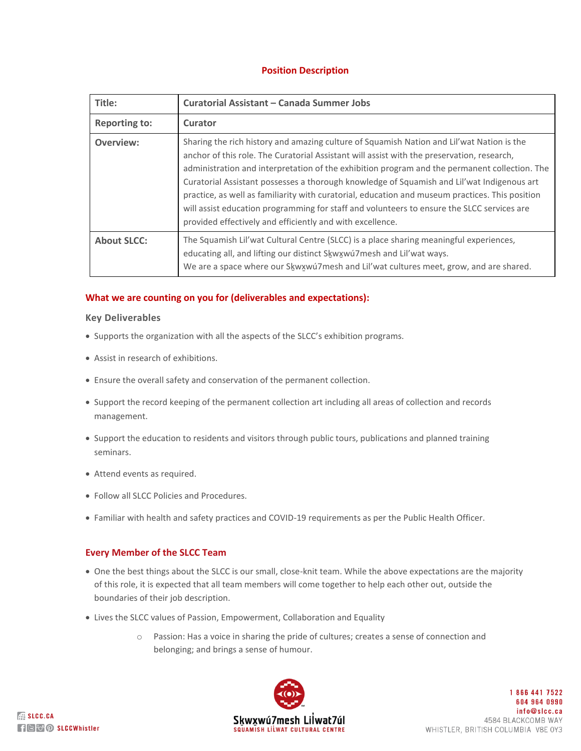# **Position Description**

| Title:               | Curatorial Assistant - Canada Summer Jobs                                                                                                                                                                                                                                                                                                                                                                                                                                                                                                                                                                                                            |
|----------------------|------------------------------------------------------------------------------------------------------------------------------------------------------------------------------------------------------------------------------------------------------------------------------------------------------------------------------------------------------------------------------------------------------------------------------------------------------------------------------------------------------------------------------------------------------------------------------------------------------------------------------------------------------|
| <b>Reporting to:</b> | Curator                                                                                                                                                                                                                                                                                                                                                                                                                                                                                                                                                                                                                                              |
| Overview:            | Sharing the rich history and amazing culture of Squamish Nation and Lil'wat Nation is the<br>anchor of this role. The Curatorial Assistant will assist with the preservation, research,<br>administration and interpretation of the exhibition program and the permanent collection. The<br>Curatorial Assistant possesses a thorough knowledge of Squamish and Lil'wat Indigenous art<br>practice, as well as familiarity with curatorial, education and museum practices. This position<br>will assist education programming for staff and volunteers to ensure the SLCC services are<br>provided effectively and efficiently and with excellence. |
| <b>About SLCC:</b>   | The Squamish Lil'wat Cultural Centre (SLCC) is a place sharing meaningful experiences,<br>educating all, and lifting our distinct Skwxwu7mesh and Lil'wat ways.<br>We are a space where our Skwxwuzmesh and Lil'wat cultures meet, grow, and are shared.                                                                                                                                                                                                                                                                                                                                                                                             |

### **What we are counting on you for (deliverables and expectations):**

### **Key Deliverables**

- Supports the organization with all the aspects of the SLCC's exhibition programs.
- Assist in research of exhibitions.
- Ensure the overall safety and conservation of the permanent collection.
- Support the record keeping of the permanent collection art including all areas of collection and records management.
- Support the education to residents and visitors through public tours, publications and planned training seminars.
- Attend events as required.
- Follow all SLCC Policies and Procedures.
- Familiar with health and safety practices and COVID-19 requirements as per the Public Health Officer.

### **Every Member of the SLCC Team**

- One the best things about the SLCC is our small, close-knit team. While the above expectations are the majority of this role, it is expected that all team members will come together to help each other out, outside the boundaries of their job description.
- Lives the SLCC values of Passion, Empowerment, Collaboration and Equality
	- o Passion: Has a voice in sharing the pride of cultures; creates a sense of connection and belonging; and brings a sense of humour.



18664417522 604 964 0990 info@slcc.ca 4584 BLACKCOMB WAY WHISTLER, BRITISH COLUMBIA V8E 0Y3